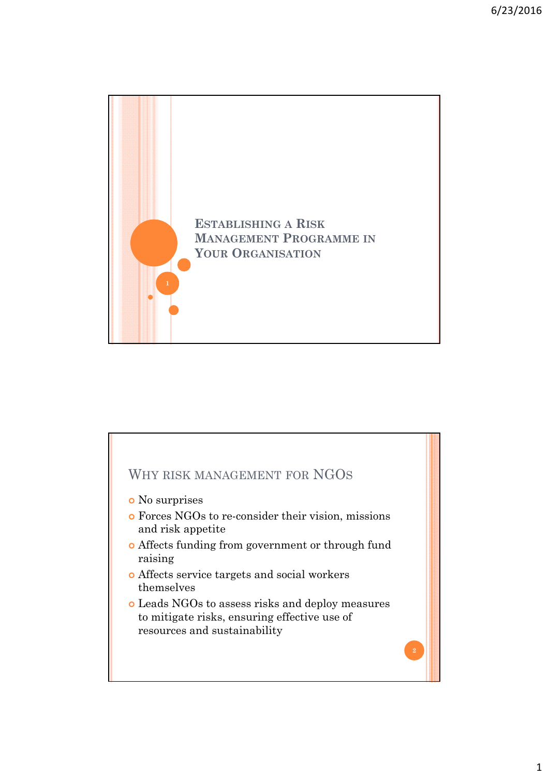

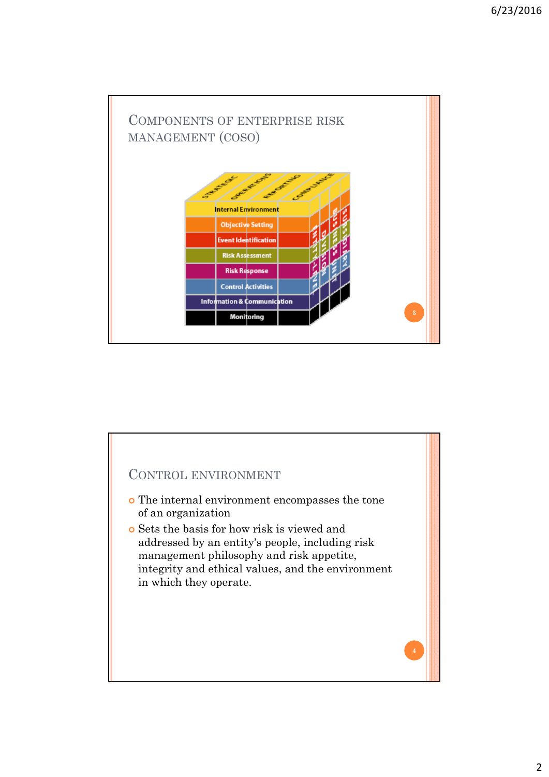

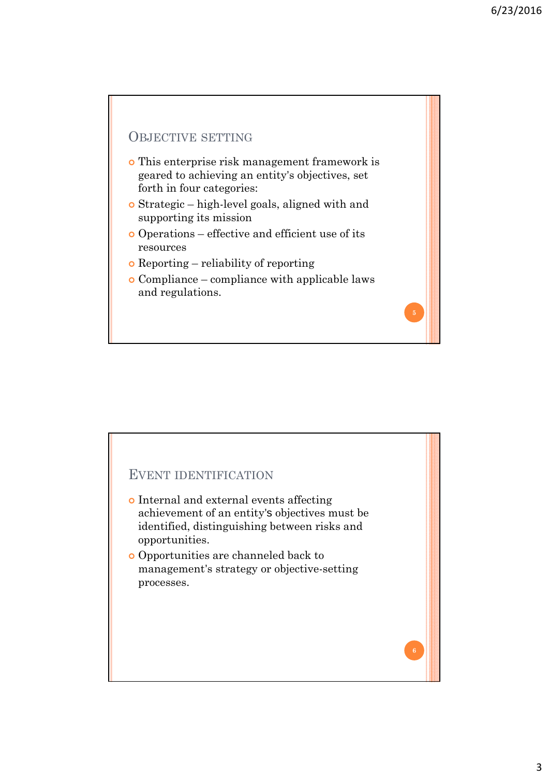# OBJECTIVE SETTING This enterprise risk management framework is geared to achieving an entity's objectives, set forth in four categories: Strategic – high-level goals, aligned with and supporting its mission Operations – effective and efficient use of its resources Reporting – reliability of reporting Compliance – compliance with applicable laws and regulations.

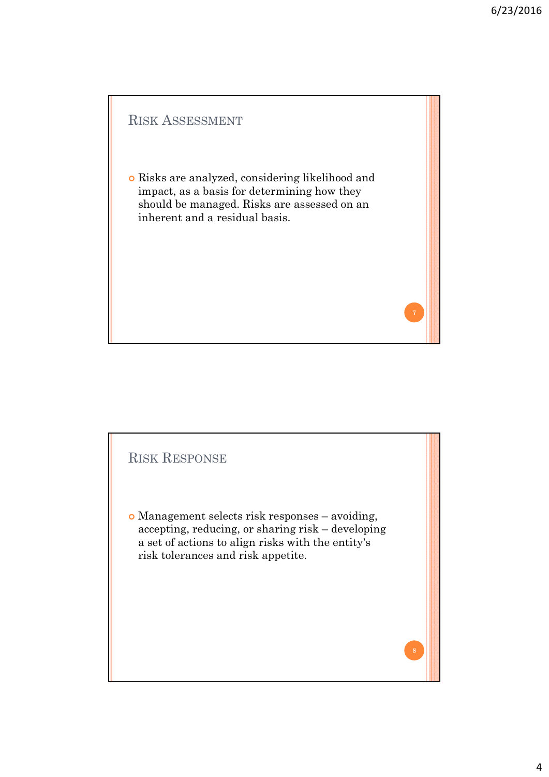

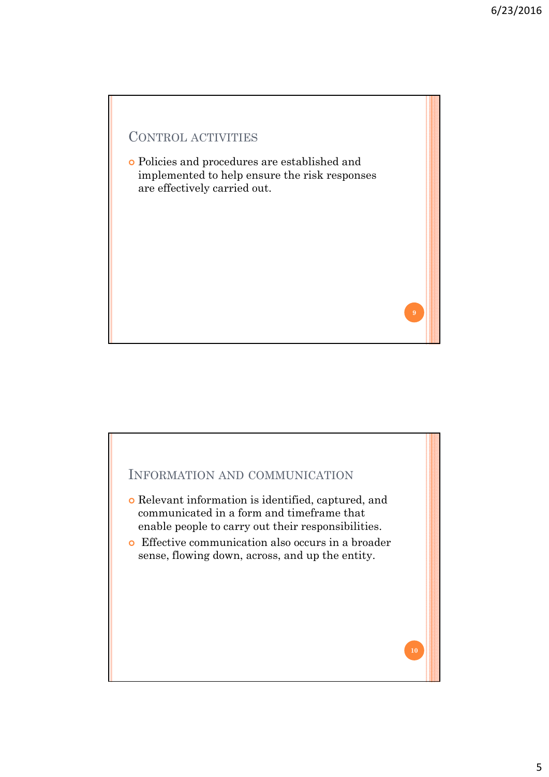

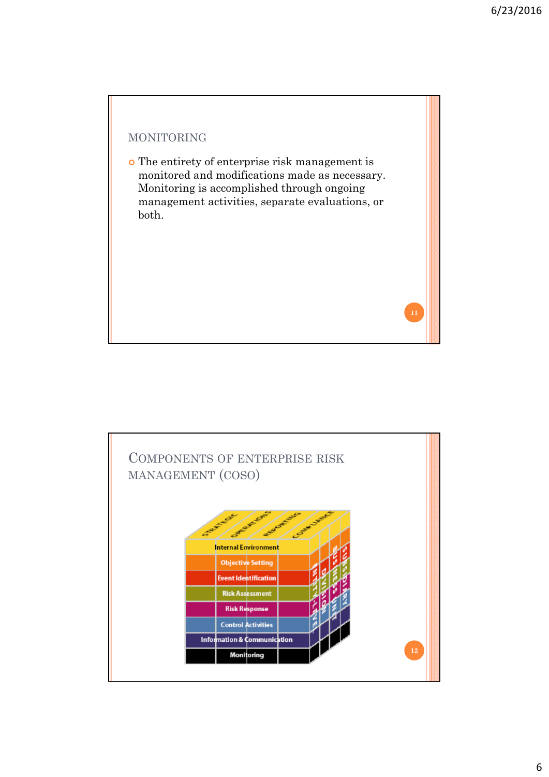

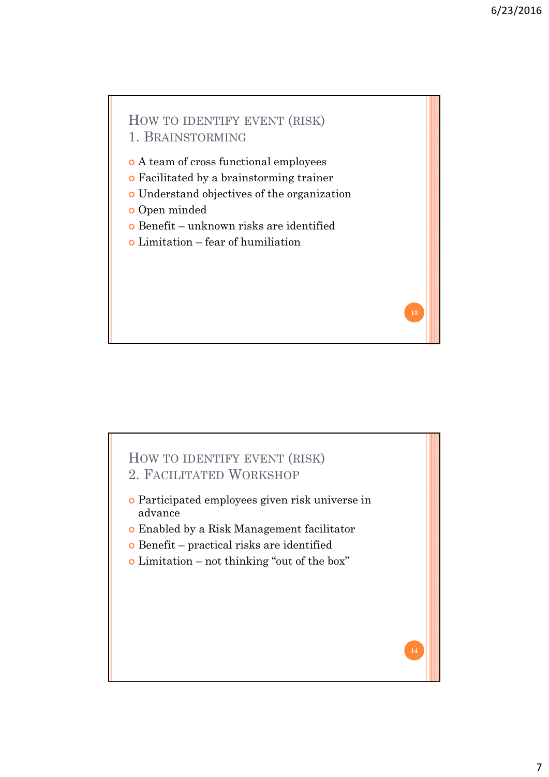**13**

**14**

# HOW TO IDENTIFY EVENT (RISK) 1. BRAINSTORMING A team of cross functional employees Facilitated by a brainstorming trainer

- Understand objectives of the organization
- o Open minded
- Benefit unknown risks are identified
- $\circ$  Limitation fear of humiliation

### HOW TO IDENTIFY EVENT (RISK) 2. FACILITATED WORKSHOP

- Participated employees given risk universe in advance
- Enabled by a Risk Management facilitator
- $\bullet$  Benefit practical risks are identified
- Limitation not thinking "out of the box"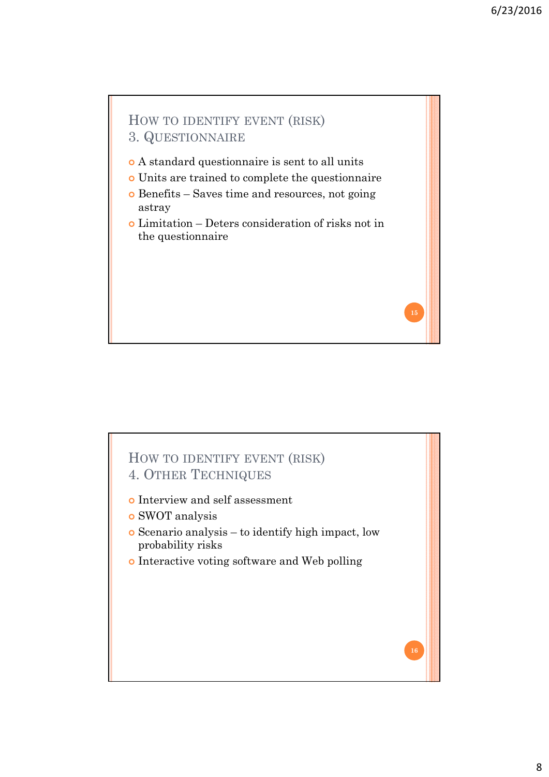# HOW TO IDENTIFY EVENT (RISK) 3. QUESTIONNAIRE A standard questionnaire is sent to all units Units are trained to complete the questionnaire Benefits – Saves time and resources, not going astray Limitation – Deters consideration of risks not in the questionnaire **15**

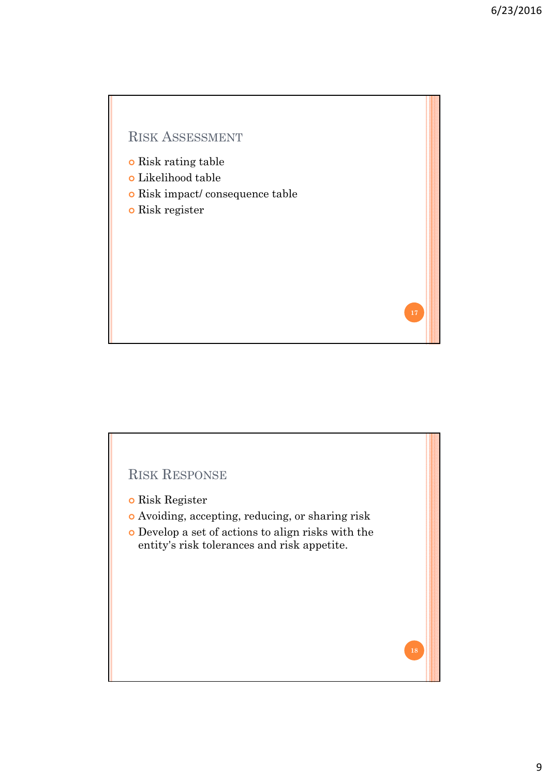### RISK ASSESSMENT

- **o** Risk rating table
- Likelihood table
- Risk impact/ consequence table
- Risk register

## RISK RESPONSE

- o Risk Register
- Avoiding, accepting, reducing, or sharing risk
- Develop a set of actions to align risks with the entity's risk tolerances and risk appetite.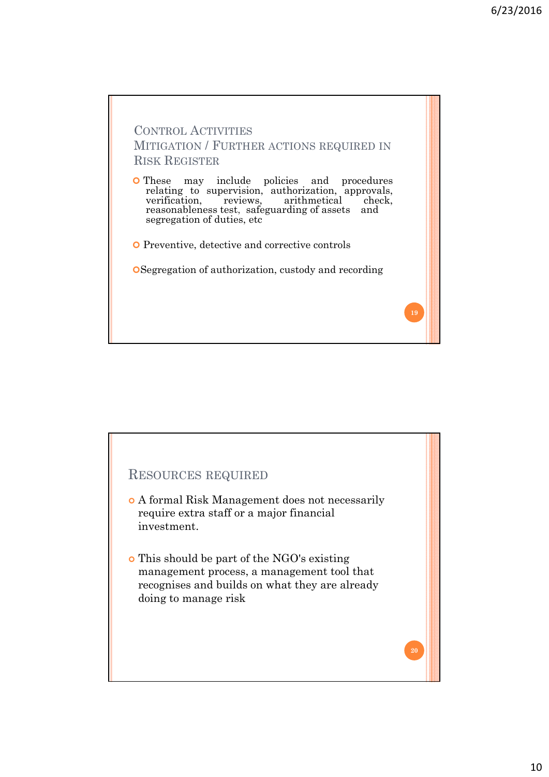

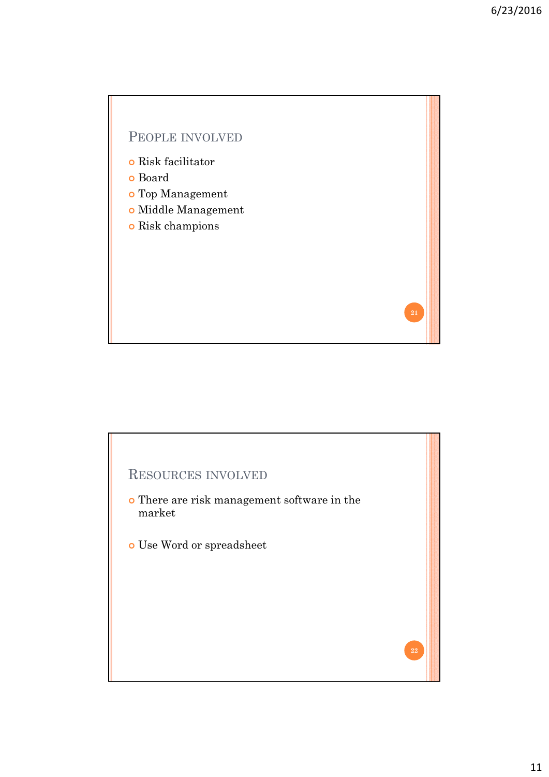### PEOPLE INVOLVED

- **o** Risk facilitator
- Board
- Top Management
- Middle Management
- o Risk champions

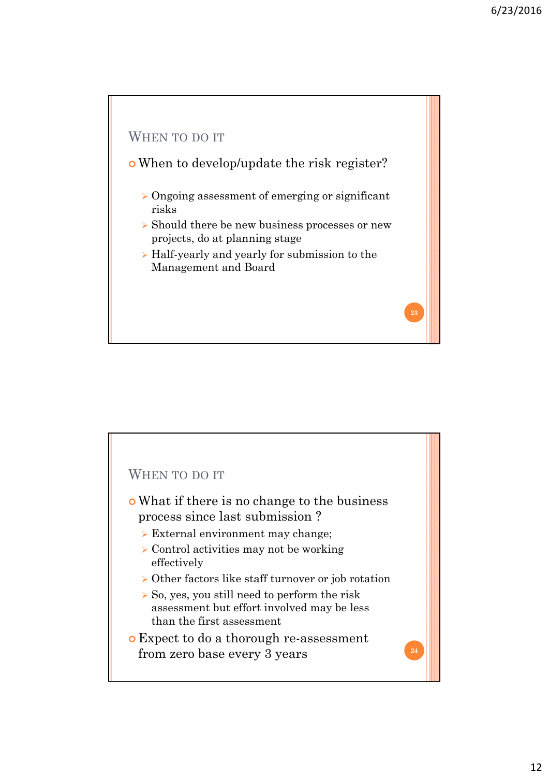

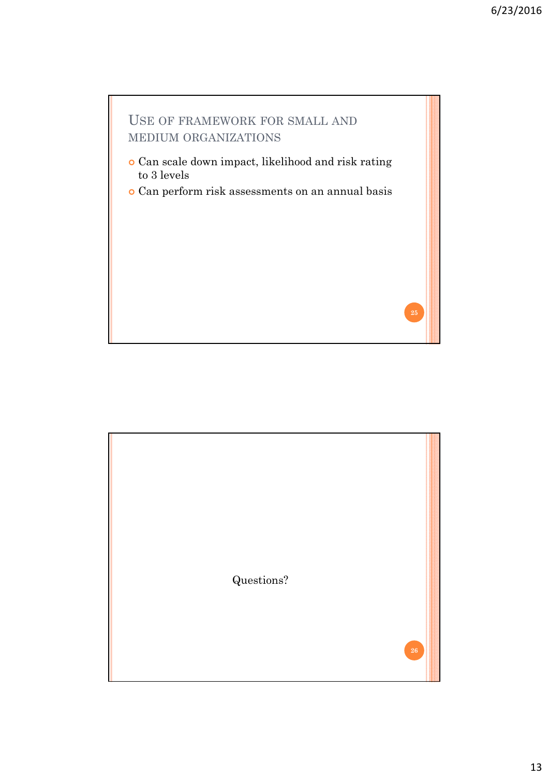